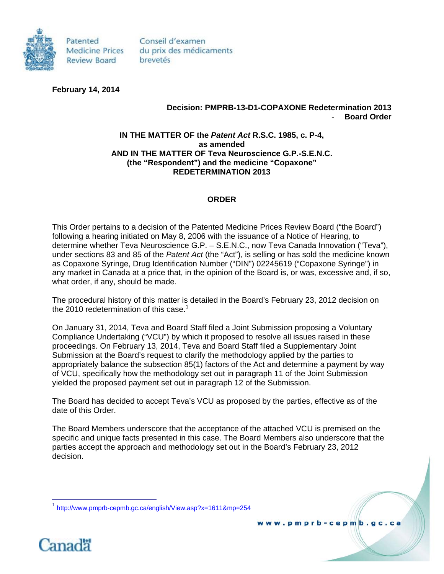

Patented **Medicine Prices Review Board** 

Conseil d'examen du prix des médicaments brevetés

**February 14, 2014** 

## **Decision: PMPRB-13-D1-COPAXONE Redetermination 2013**  - **Board Order**

## **IN THE MATTER OF the** *Patent Act* **R.S.C. 1985, c. P-4, as amended AND IN THE MATTER OF Teva Neuroscience G.P.-S.E.N.C. (the "Respondent") and the medicine "Copaxone" REDETERMINATION 2013**

## **ORDER**

This Order pertains to a decision of the Patented Medicine Prices Review Board ("the Board") following a hearing initiated on May 8, 2006 with the issuance of a Notice of Hearing, to determine whether Teva Neuroscience G.P. – S.E.N.C., now Teva Canada Innovation ("Teva"), under sections 83 and 85 of the *Patent Act* (the "Act"), is selling or has sold the medicine known as Copaxone Syringe, Drug Identification Number ("DIN") 02245619 ("Copaxone Syringe") in any market in Canada at a price that, in the opinion of the Board is, or was, excessive and, if so, what order, if any, should be made.

The procedural history of this matter is detailed in the Board's February 23, 2012 decision on the 2010 redetermination of this case.<sup>1</sup>

On January 31, 2014, Teva and Board Staff filed a Joint Submission proposing a Voluntary Compliance Undertaking ("VCU") by which it proposed to resolve all issues raised in these proceedings. On February 13, 2014, Teva and Board Staff filed a Supplementary Joint Submission at the Board's request to clarify the methodology applied by the parties to appropriately balance the subsection 85(1) factors of the Act and determine a payment by way of VCU, specifically how the methodology set out in paragraph 11 of the Joint Submission yielded the proposed payment set out in paragraph 12 of the Submission.

The Board has decided to accept Teva's VCU as proposed by the parties, effective as of the date of this Order.

The Board Members underscore that the acceptance of the attached VCU is premised on the specific and unique facts presented in this case. The Board Members also underscore that the parties accept the approach and methodology set out in the Board's February 23, 2012 decision.

www.pmprb-cepmb.gc.ca

<sup>1</sup> http://www.pmprb-cepmb.gc.ca/english/View.asp?x=1611&mp=254



 $\overline{a}$